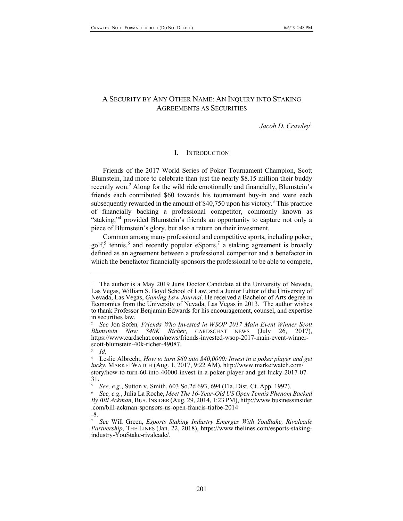# A SECURITY BY ANY OTHER NAME: AN INQUIRY INTO STAKING AGREEMENTS AS SECURITIES

*Jacob D. Crawley*<sup>1</sup>

### I. INTRODUCTION

Friends of the 2017 World Series of Poker Tournament Champion, Scott Blumstein, had more to celebrate than just the nearly \$8.15 million their buddy recently won.<sup>2</sup> Along for the wild ride emotionally and financially, Blumstein's friends each contributed \$60 towards his tournament buy-in and were each subsequently rewarded in the amount of  $$40,750$  upon his victory.<sup>3</sup> This practice of financially backing a professional competitor, commonly known as "staking,"4 provided Blumstein's friends an opportunity to capture not only a piece of Blumstein's glory, but also a return on their investment.

Common among many professional and competitive sports, including poker, golf,<sup>5</sup> tennis,<sup>6</sup> and recently popular eSports,<sup>7</sup> a staking agreement is broadly defined as an agreement between a professional competitor and a benefactor in which the benefactor financially sponsors the professional to be able to compete,

<sup>1</sup> The author is a May 2019 Juris Doctor Candidate at the University of Nevada, Las Vegas, William S. Boyd School of Law, and a Junior Editor of the University of Nevada, Las Vegas, *Gaming Law Journal*. He received a Bachelor of Arts degree in Economics from the University of Nevada, Las Vegas in 2013. The author wishes to thank Professor Benjamin Edwards for his encouragement, counsel, and expertise in securities law.

<sup>2</sup> *See* Jon Sofen*, Friends Who Invested in WSOP 2017 Main Event Winner Scott Blumstein Now \$40K Richer*, CARDSCHAT NEWS (July 26, 2017), https://www.cardschat.com/news/friends-invested-wsop-2017-main-event-winner- scott-blumstein-40k-richer-49087.

 $\frac{3}{4}$  *Id.* 

<sup>4</sup> Leslie Albrecht, *How to turn \$60 into \$40,0000: Invest in a poker player and get lucky*, MARKETWATCH (Aug. 1, 2017, 9:22 AM), http://www.marketwatch.com/ story/how-to-turn-60-into-40000-invest-in-a-poker-player-and-get-lucky-2017-07- 31.

<sup>5</sup> *See, e.g.*, Sutton v. Smith, 603 So.2d 693, 694 (Fla. Dist. Ct. App. 1992).

<sup>6</sup> *See, e.g.*, Julia La Roche, *Meet The 16-Year-Old US Open Tennis Phenom Backed By Bill Ackman*, BUS.INSIDER (Aug. 29, 2014, 1:23 PM), http://www.businessinsider .com/bill-ackman-sponsors-us-open-francis-tiafoe-2014

<sup>-8.</sup>

<sup>7</sup> *See* Will Green, *Esports Staking Industry Emerges With YouStake, Rivalcade Partnership*, THE LINES (Jan. 22, 2018), https://www.thelines.com/esports-staking-<br>industry-YouStake-rivalcade/.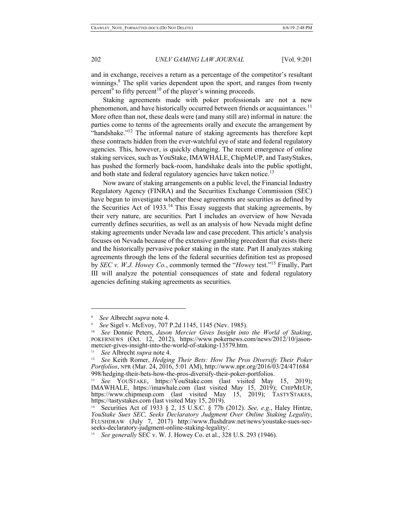and in exchange, receives a return as a percentage of the competitor's resultant winnings.<sup>8</sup> The split varies dependent upon the sport, and ranges from twenty percent<sup>9</sup> to fifty percent<sup>10</sup> of the player's winning proceeds.

Staking agreements made with poker professionals are not a new phenomenon, and have historically occurred between friends or acquaintances.<sup>11</sup> More often than not, these deals were (and many still are) informal in nature: the parties come to terms of the agreements orally and execute the arrangement by "handshake."<sup>12</sup> The informal nature of staking agreements has therefore kept these contracts hidden from the ever-watchful eye of state and federal regulatory agencies. This, however, is quickly changing. The recent emergence of online staking services, such as YouStake, IMAWHALE, ChipMeUP, and TastyStakes, has pushed the formerly back-room, handshake deals into the public spotlight, and both state and federal regulatory agencies have taken notice.<sup>13</sup>

Now aware of staking arrangements on a public level, the Financial Industry Regulatory Agency (FINRA) and the Securities Exchange Commission (SEC) have begun to investigate whether these agreements are securities as defined by the Securities Act of  $1933$ <sup>14</sup> This Essay suggests that staking agreements, by their very nature, are securities. Part I includes an overview of how Nevada currently defines securities, as well as an analysis of how Nevada might define staking agreements under Nevada law and case precedent. This article's analysis focuses on Nevada because of the extensive gambling precedent that exists there and the historically pervasive poker staking in the state. Part II analyzes staking agreements through the lens of the federal securities definition test as proposed by *SEC v. W.J. Howey Co.*, commonly termed the "*Howey* test."15 Finally, Part III will analyze the potential consequences of state and federal regulatory agencies defining staking agreements as securities.

<sup>8</sup> *See* Albrecht *supra* note 4.

<sup>9</sup> *See* Sigel v. McEvoy, 707 P.2d 1145, 1145 (Nev. 1985).

<sup>10</sup> *See* Donnie Peters, *Jason Mercier Gives Insight into the World of Staking*, POKERNEWS (Oct. 12, 2012), https://www.pokernews.com/news/2012/10/jason-mercier-gives-insight-into-the-world-of-staking-13579.htm.

<sup>11</sup> *See* Albrecht *supra* note 4.

<sup>12</sup> *See* Keith Romer, *Hedging Their Bets: How The Pros Diversify Their Poker Portfolios*, NPR (Mar. 24, 2016, 5:01 AM), http://www.npr.org/2016/03/24/471684 998/hedging-their-bets-how-the-pros-diversify-their-poker-portfolios.

See YOUSTAKE, https://YouStake.com (last visited May 15, 2019); IMAWHALE, https://imawhale.com (last visited May 15, 2019); CHIPMEUP, https://www.chipmeup.com (last visited May 15, 2019); TASTYSTAKES, https://tastystakes.com (last visited May 15, 2019).

<sup>14</sup> Securities Act of 1933 § 2, 15 U.S.C. § 77b (2012). *See, e.g.*, Haley Hintze, *YouStake Sues SEC, Seeks Declaratory Judgment Over Online Staking Legality*, FLUSHDRAW (July 7, 2017) http://www.flushdraw.net/news/youstake-sues-sec-seeks-declaratory-judgment-online-staking-legality/.

<sup>15</sup> *See generally* SEC v. W. J. Howey Co. et al., 328 U.S. 293 (1946).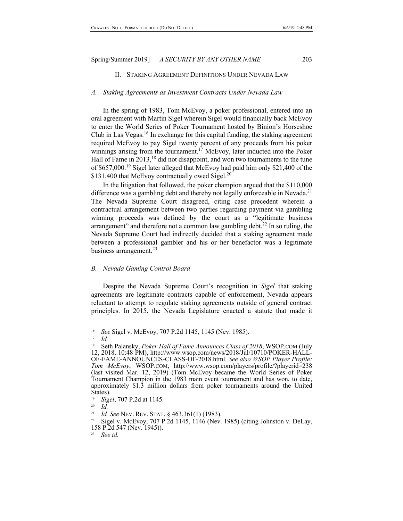### II. STAKING AGREEMENT DEFINITIONS UNDER NEVADA LAW

#### *A. Staking Agreements as Investment Contracts Under Nevada Law*

In the spring of 1983, Tom McEvoy, a poker professional, entered into an oral agreement with Martin Sigel wherein Sigel would financially back McEvoy to enter the World Series of Poker Tournament hosted by Binion's Horseshoe Club in Las Vegas.<sup>16</sup> In exchange for this capital funding, the staking agreement required McEvoy to pay Sigel twenty percent of any proceeds from his poker winnings arising from the tournament.<sup>17</sup> McEvoy, later inducted into the Poker Hall of Fame in  $2013$ ,<sup>18</sup> did not disappoint, and won two tournaments to the tune of \$657,000.<sup>19</sup> Sigel later alleged that McEvoy had paid him only \$21,400 of the \$131,400 that McEvoy contractually owed Sigel. $^{20}$ 

In the litigation that followed, the poker champion argued that the \$110,000 difference was a gambling debt and thereby not legally enforceable in Nevada.<sup>21</sup> The Nevada Supreme Court disagreed, citing case precedent wherein a contractual arrangement between two parties regarding payment via gambling winning proceeds was defined by the court as a "legitimate business arrangement" and therefore not a common law gambling debt.<sup>22</sup> In so ruling, the Nevada Supreme Court had indirectly decided that a staking agreement made between a professional gambler and his or her benefactor was a legitimate business arrangement. $^{23}$ 

### *B. Nevada Gaming Control Board*

Despite the Nevada Supreme Court's recognition in *Sigel* that staking agreements are legitimate contracts capable of enforcement, Nevada appears reluctant to attempt to regulate staking agreements outside of general contract principles. In 2015, the Nevada Legislature enacted a statute that made it

<sup>16</sup> *See* Sigel v. McEvoy, 707 P.2d 1145, 1145 (Nev. 1985).

<sup>17</sup> *Id.*

<sup>18</sup> Seth Palansky, *Poker Hall of Fame Announces Class of 2018*, WSOP.COM (July 12, 2018, 10:48 PM), http://www.wsop.com/news/2018/Jul/10710/POKER-HALL-OF-FAME-ANNOUNCES-CLASS-OF-2018.html. *See also WSOP Player Profile: Tom McEvoy*, WSOP.COM, http://www.wsop.com/players/profile/?playerid=238 (last visited Mar. 12, 2019) (Tom McEvoy became the World Series of Poker Tournament Champion in the 1983 main event tournament and has won, to date, approximately \$1.3 million dollars from poker tournaments around the United States).

<sup>19</sup> *Sigel*, 707 P.2d at 1145.

<sup>20</sup> *Id.*

<sup>21</sup> *Id. See* NEV. REV. STAT. § 463.361(1) (1983).

 $22$  Sigel v. McEvoy, 707 P.2d 1145, 1146 (Nev. 1985) (citing Johnston v. DeLay, 158 P.2d 547 (Nev. 1945)).

<sup>23</sup> *See id.*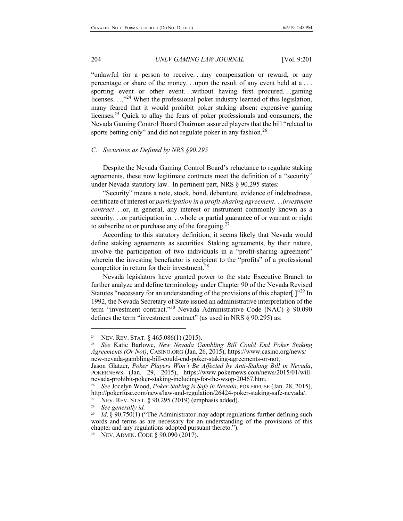"unlawful for a person to receive. . .any compensation or reward, or any percentage or share of the money. . .upon the result of any event held at a . . . sporting event or other event. . .without having first procured. . .gaming licenses. . .."<sup>24</sup> When the professional poker industry learned of this legislation, many feared that it would prohibit poker staking absent expensive gaming licenses.25 Quick to allay the fears of poker professionals and consumers, the Nevada Gaming Control Board Chairman assured players that the bill "related to sports betting only" and did not regulate poker in any fashion.<sup>26</sup>

## *C. Securities as Defined by NRS §90.295*

Despite the Nevada Gaming Control Board's reluctance to regulate staking agreements, these now legitimate contracts meet the definition of a "security" under Nevada statutory law. In pertinent part, NRS § 90.295 states:

"Security" means a note, stock, bond, debenture, evidence of indebtedness, certificate of interest or *participation in a profit-sharing agreement*. . .*investment contract*. . .or, in general, any interest or instrument commonly known as a security. . .or participation in. . .whole or partial guarantee of or warrant or right to subscribe to or purchase any of the foregoing.<sup>27</sup>

According to this statutory definition, it seems likely that Nevada would define staking agreements as securities. Staking agreements, by their nature, involve the participation of two individuals in a "profit-sharing agreement" wherein the investing benefactor is recipient to the "profits" of a professional competitor in return for their investment.<sup>28</sup>

Nevada legislators have granted power to the state Executive Branch to further analyze and define terminology under Chapter 90 of the Nevada Revised Statutes "necessary for an understanding of the provisions of this chapter<sup>[1]"29</sup> In 1992, the Nevada Secretary of State issued an administrative interpretation of the term "investment contract."<sup>30</sup> Nevada Administrative Code (NAC) § 90.090 defines the term "investment contract" (as used in NRS § 90.295) as:

<sup>&</sup>lt;sup>24</sup> NEV. REV. STAT.  $\S 465.086(1)$  (2015).

<sup>25</sup> *See* Katie Barlowe, *New Nevada Gambling Bill Could End Poker Staking Agreements (Or Not)*, CASINO.ORG (Jan. 26, 2015), https://www.casino.org/news/ new-nevada-gambling-bill-could-end-poker-staking-agreements-or-not;<br>Jason Glatzer, Poker Players Won't Be Affected by Anti-Staking Bill in Nevada,

POKERNEWS (Jan. 29, 2015), https://www.pokernews.com/news/2015/01/will-<br>nevada-prohibit-poker-staking-including-for-the-wsop-20467.htm.

<sup>26</sup> *See* Jocelyn Wood, *Poker Staking is Safe in Nevada*, POKERFUSE (Jan. 28, 2015), http://pokerfuse.com/news/law-and-regulation/26424-poker-staking-safe-nevada/. <sup>27</sup> NEV. REV. STAT.  $\S$  90.295 (2019) (emphasis added).

<sup>28</sup> *See generally id.*

<sup>&</sup>lt;sup>29</sup> *Id.* § 90.750(1) ("The Administrator may adopt regulations further defining such words and terms as are necessary for an understanding of the provisions of this chapter and any regulations adopted pursuant thereto.").

<sup>&</sup>lt;sup>30</sup> NEV. ADMIN. CODE § 90.090 (2017).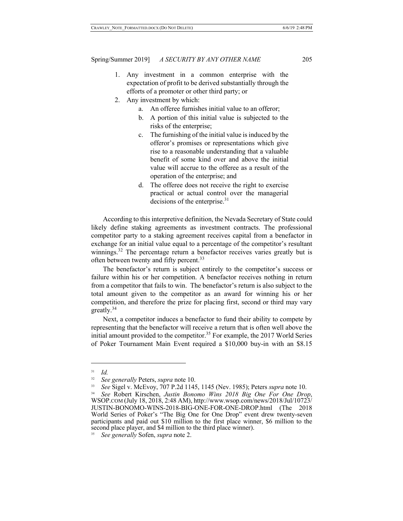- 1. Any investment in a common enterprise with the expectation of profit to be derived substantially through the efforts of a promoter or other third party; or
- 2. Any investment by which:
	- a. An offeree furnishes initial value to an offeror;
	- b. A portion of this initial value is subjected to the risks of the enterprise;
	- c. The furnishing of the initial value is induced by the offeror's promises or representations which give rise to a reasonable understanding that a valuable benefit of some kind over and above the initial value will accrue to the offeree as a result of the operation of the enterprise; and
	- d. The offeree does not receive the right to exercise practical or actual control over the managerial decisions of the enterprise.<sup>31</sup>

According to this interpretive definition, the Nevada Secretary of State could likely define staking agreements as investment contracts. The professional competitor party to a staking agreement receives capital from a benefactor in exchange for an initial value equal to a percentage of the competitor's resultant winnings.<sup>32</sup> The percentage return a benefactor receives varies greatly but is often between twenty and fifty percent.<sup>33</sup>

The benefactor's return is subject entirely to the competitor's success or failure within his or her competition. A benefactor receives nothing in return from a competitor that fails to win. The benefactor's return is also subject to the total amount given to the competitor as an award for winning his or her competition, and therefore the prize for placing first, second or third may vary greatly.<sup>34</sup>

Next, a competitor induces a benefactor to fund their ability to compete by representing that the benefactor will receive a return that is often well above the initial amount provided to the competitor.<sup>35</sup> For example, the 2017 World Series of Poker Tournament Main Event required a \$10,000 buy-in with an \$8.15

<sup>31</sup> *Id.*

<sup>32</sup> *See generally* Peters, *supra* note 10.

<sup>33</sup> *See* Sigel v. McEvoy, 707 P.2d 1145, 1145 (Nev. 1985); Peters *supra* note 10.

<sup>34</sup>*See* Robert Kirschen, *Justin Bonomo Wins 2018 Big One For One Drop*, WSOP.COM (July 18, 2018, 2:48 AM), http://www.wsop.com/news/2018/Jul/10723/ JUSTIN-BONOMO-WINS-2018-BIG-ONE-FOR-ONE-DROP.html (The 2018 World Series of Poker's "The Big One for One Drop" event drew twenty-seven participants and paid out \$10 million to the first place winner, \$6 million to the second place player, and \$4 million to the third place winner).

<sup>35</sup> *See generally* Sofen, *supra* note 2.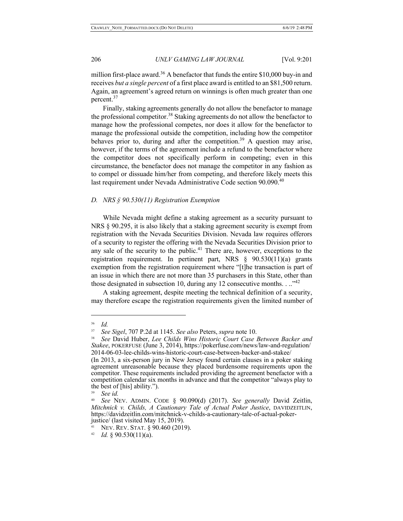million first-place award.<sup>36</sup> A benefactor that funds the entire  $$10,000$  buy-in and receives *but a single percent* of a first place award is entitled to an \$81,500 return. Again, an agreement's agreed return on winnings is often much greater than one percent.<sup>37</sup>

Finally, staking agreements generally do not allow the benefactor to manage the professional competitor.<sup>38</sup> Staking agreements do not allow the benefactor to manage how the professional competes, nor does it allow for the benefactor to manage the professional outside the competition, including how the competitor behaves prior to, during and after the competition.<sup>39</sup> A question may arise, however, if the terms of the agreement include a refund to the benefactor where the competitor does not specifically perform in competing; even in this circumstance, the benefactor does not manage the competitor in any fashion as to compel or dissuade him/her from competing, and therefore likely meets this last requirement under Nevada Administrative Code section 90.090.<sup>40</sup>

## *D. NRS § 90.530(11) Registration Exemption*

While Nevada might define a staking agreement as a security pursuant to NRS § 90.295, it is also likely that a staking agreement security is exempt from registration with the Nevada Securities Division. Nevada law requires offerors of a security to register the offering with the Nevada Securities Division prior to any sale of the security to the public.<sup>41</sup> There are, however, exceptions to the registration requirement. In pertinent part, NRS § 90.530(11)(a) grants exemption from the registration requirement where "[t]he transaction is part of an issue in which there are not more than 35 purchasers in this State, other than those designated in subsection 10, during any 12 consecutive months.  $\ldots$ <sup>42</sup>

A staking agreement, despite meeting the technical definition of a security, may therefore escape the registration requirements given the limited number of

<sup>36</sup> *Id.*

<sup>37</sup> *See Sigel*, 707 P.2d at 1145. *See also* Peters, *supra* note 10.

<sup>38</sup> *See* David Huber, *Lee Childs Wins Historic Court Case Between Backer and Stakee*, POKERFUSE (June 3, 2014), https://pokerfuse.com/news/law-and-regulation/ 2014-06-03-lee-childs-wins-historic-court-case-between-backer-and-stakee/

<sup>(</sup>In 2013, a six-person jury in New Jersey found certain clauses in a poker staking agreement unreasonable because they placed burdensome requirements upon the competitor. These requirements included providing the agreement benefactor with a competition calendar six months in advance and that the competitor "always play to the best of [his] ability.").

<sup>39</sup> *See id.*

<sup>40</sup> *See* NEV. ADMIN. CODE § 90.090(d) (2017). *See generally* David Zeitlin, *Mitchnick v. Childs, A Cautionary Tale of Actual Poker Justice*, DAVIDZEITLIN, https://davidzeitlin.com/mitchnick-v-childs-a-cautionary-tale-of-actual-poker- justice/ (last visited May 15, 2019).

NEV. REV. STAT. § 90.460 (2019).

 $42$  *Id.* § 90.530(11)(a).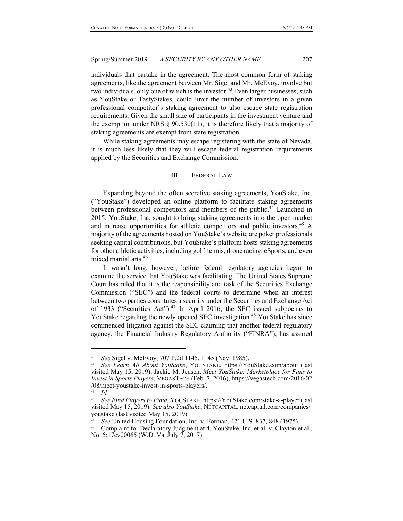individuals that partake in the agreement. The most common form of staking agreements, like the agreement between Mr. Sigel and Mr. McEvoy, involve but two individuals, only one of which is the investor.<sup>43</sup> Even larger businesses, such as YouStake or TastyStakes, could limit the number of investors in a given professional competitor's staking agreement to also escape state registration requirements. Given the small size of participants in the investment venture and the exemption under NRS  $\S$  90.530(11), it is therefore likely that a majority of staking agreements are exempt from state registration.

While staking agreements may escape registering with the state of Nevada, it is much less likely that they will escape federal registration requirements applied by the Securities and Exchange Commission.

## III. FEDERAL LAW

Expanding beyond the often secretive staking agreements, YouStake, Inc. ("YouStake") developed an online platform to facilitate staking agreements between professional competitors and members of the public.<sup>44</sup> Launched in 2015, YouStake, Inc. sought to bring staking agreements into the open market and increase opportunities for athletic competitors and public investors.<sup>45</sup> A majority of the agreements hosted on YouStake's website are poker professionals seeking capital contributions, but YouStake's platform hosts staking agreements for other athletic activities, including golf, tennis, drone racing, eSports, and even mixed martial arts.<sup>46</sup>

It wasn't long, however, before federal regulatory agencies began to examine the service that YouStake was facilitating. The United States Supreme Court has ruled that it is the responsibility and task of the Securities Exchange Commission ("SEC") and the federal courts to determine when an interest between two parties constitutes a security under the Securities and Exchange Act of 1933 ("Securities Act").<sup>47</sup> In April 2016, the SEC issued subpoenas to YouStake regarding the newly opened SEC investigation.<sup>48</sup> YouStake has since commenced litigation against the SEC claiming that another federal regulatory agency, the Financial Industry Regulatory Authority ("FINRA"), has assured

<sup>43</sup> *See* Sigel v. McEvoy, 707 P.2d 1145, 1145 (Nev. 1985).

<sup>44</sup> *See Learn All About YouStake*, YOUSTAKE, https://YouStake.com/about (last visited May 15, 2019); Jackie M. Jensen, *Meet YouStake: Marketplace for Fans to Invest in Sports Players*, VEGASTECH (Feb. 7, 2016), https://vegastech.com/2016/02 /08/meet-youstake-invest-in-sports-players/.

<sup>45</sup> *Id.*

<sup>46</sup> *See Find Players to Fund*, YOUSTAKE, https://YouStake.com/stake-a-player (last visited May 15, 2019). *See also YouStake*, NETCAPITAL, netcapital.com/companies/ youstake (last visited May 15, 2019).

<sup>47</sup> *See* United Housing Foundation, Inc. v. Forman, 421 U.S. 837, 848 (1975).

<sup>48</sup> Complaint for Declaratory Judgment at 4, YouStake, Inc. et al. v. Clayton et al., No. 5:17cv00065 (W.D. Va. July 7, 2017).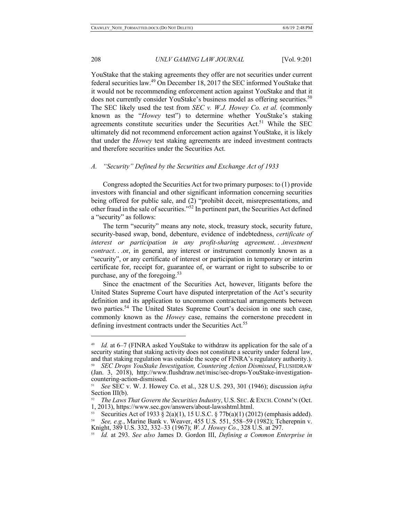$\overline{a}$ 

# 208 *UNLV GAMING LAW JOURNAL* [Vol. 9:201

YouStake that the staking agreements they offer are not securities under current federal securities law.49 On December 18, 2017 the SEC informed YouStake that it would not be recommending enforcement action against YouStake and that it does not currently consider YouStake's business model as offering securities.<sup>50</sup> The SEC likely used the test from *SEC v. W.J. Howey Co. et al.* (commonly known as the "*Howey* test") to determine whether YouStake's staking agreements constitute securities under the Securities  $Act.^{51}$  While the SEC ultimately did not recommend enforcement action against YouStake, it is likely that under the *Howey* test staking agreements are indeed investment contracts and therefore securities under the Securities Act.

# *A. "Security" Defined by the Securities and Exchange Act of 1933*

Congress adopted the Securities Act for two primary purposes: to (1) provide investors with financial and other significant information concerning securities being offered for public sale, and (2) "prohibit deceit, misrepresentations, and other fraud in the sale of securities."<sup>52</sup> In pertinent part, the Securities Act defined a "security" as follows:

The term "security" means any note, stock, treasury stock, security future, security-based swap, bond, debenture, evidence of indebtedness, *certificate of interest or participation in any profit-sharing agreement*. . .*investment contract*. . .or, in general, any interest or instrument commonly known as a "security", or any certificate of interest or participation in temporary or interim certificate for, receipt for, guarantee of, or warrant or right to subscribe to or purchase, any of the foregoing.<sup>53</sup>

Since the enactment of the Securities Act, however, litigants before the United States Supreme Court have disputed interpretation of the Act's security definition and its application to uncommon contractual arrangements between two parties.54 The United States Supreme Court's decision in one such case, commonly known as the *Howey* case, remains the cornerstone precedent in defining investment contracts under the Securities Act.<sup>55</sup>

<sup>49</sup> *Id.* at 6–7 (FINRA asked YouStake to withdraw its application for the sale of a security stating that staking activity does not constitute a security under federal law, and that staking regulation was outside the scope of FINRA's regulatory authority.).

<sup>50</sup> *SEC Drops YouStake Investigation, Countering Action Dismissed*, FLUSHDRAW (Jan. 3, 2018), http://www.flushdraw.net/misc/sec-drops-YouStake-investigation- countering-action-dismissed.

<sup>51</sup> *See* SEC v. W. J. Howey Co. et al., 328 U.S. 293, 301 (1946); discussion *infra*  Section III(b).

The Laws That Govern the Securities Industry, U.S. SEC. & EXCH. COMM'N (Oct. 1, 2013), https://www.sec.gov/answers/about-lawsshtml.html.

Securities Act of 1933 § 2(a)(1), 15 U.S.C. § 77b(a)(1) (2012) (emphasis added).

<sup>54</sup> *See, e.g.*, Marine Bank v. Weaver, 455 U.S. 551, 558–59 (1982); Tcherepnin v. Knight, 389 U.S. 332, 332–33 (1967); *W. J. Howey Co.*, 328 U.S. at 297.

<sup>55</sup> *Id.* at 293. *See also* James D. Gordon III, *Defining a Common Enterprise in*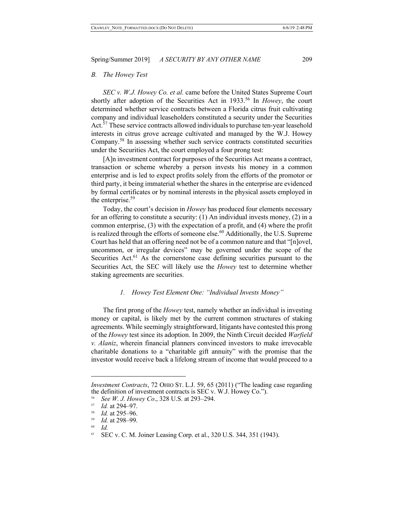### *B. The Howey Test*

*SEC v. W.J. Howey Co. et al.* came before the United States Supreme Court shortly after adoption of the Securities Act in 1933.<sup>56</sup> In *Howey*, the court determined whether service contracts between a Florida citrus fruit cultivating company and individual leaseholders constituted a security under the Securities Act.<sup>57</sup> These service contracts allowed individuals to purchase ten-year leasehold interests in citrus grove acreage cultivated and managed by the W.J. Howey Company.58 In assessing whether such service contracts constituted securities under the Securities Act, the court employed a four prong test:

[A]n investment contract for purposes of the Securities Act means a contract, transaction or scheme whereby a person invests his money in a common enterprise and is led to expect profits solely from the efforts of the promotor or third party, it being immaterial whether the shares in the enterprise are evidenced by formal certificates or by nominal interests in the physical assets employed in the enterprise.<sup>59</sup>

Today, the court's decision in *Howey* has produced four elements necessary for an offering to constitute a security: (1) An individual invests money, (2) in a common enterprise, (3) with the expectation of a profit, and (4) where the profit is realized through the efforts of someone else.<sup>60</sup> Additionally, the U.S. Supreme Court has held that an offering need not be of a common nature and that "[n]ovel, uncommon, or irregular devices" may be governed under the scope of the Securities Act.<sup>61</sup> As the cornerstone case defining securities pursuant to the Securities Act, the SEC will likely use the *Howey* test to determine whether staking agreements are securities.

## *1. Howey Test Element One: "Individual Invests Money"*

The first prong of the *Howey* test, namely whether an individual is investing money or capital, is likely met by the current common structures of staking agreements. While seemingly straightforward, litigants have contested this prong of the *Howey* test since its adoption. In 2009, the Ninth Circuit decided *Warfield v. Alaniz*, wherein financial planners convinced investors to make irrevocable charitable donations to a "charitable gift annuity" with the promise that the investor would receive back a lifelong stream of income that would proceed to a

*Investment Contracts*, 72 OHIO ST. L.J. 59, 65 (2011) ("The leading case regarding the definition of investment contracts is SEC v. W.J. Howey Co.").

<sup>&</sup>lt;sup>56</sup> *See W. J. Howey Co.*, 328 U.S. at 293–294.

 $\frac{57}{58}$  *Id.* at 294–97.

 $\frac{58}{59}$  *Id.* at 295–96.

<sup>59</sup> *Id.* at 298–99.

<sup>60</sup> *Id.*

<sup>61</sup> SEC v. C. M. Joiner Leasing Corp. et al., 320 U.S. 344, 351 (1943).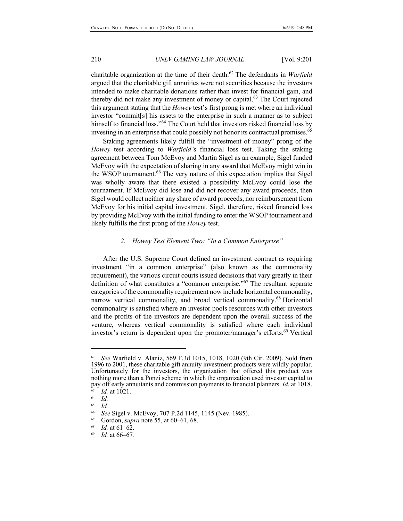charitable organization at the time of their death.<sup>62</sup> The defendants in *Warfield* argued that the charitable gift annuities were not securities because the investors intended to make charitable donations rather than invest for financial gain, and thereby did not make any investment of money or capital. <sup>63</sup> The Court rejected this argument stating that the *Howey* test's first prong is met where an individual investor "commit[s] his assets to the enterprise in such a manner as to subject himself to financial loss."<sup>64</sup> The Court held that investors risked financial loss by investing in an enterprise that could possibly not honor its contractual promises.<sup>65</sup>

Staking agreements likely fulfill the "investment of money" prong of the *Howey* test according to *Warfield'*s financial loss test. Taking the staking agreement between Tom McEvoy and Martin Sigel as an example, Sigel funded McEvoy with the expectation of sharing in any award that McEvoy might win in the WSOP tournament.<sup>66</sup> The very nature of this expectation implies that Sigel was wholly aware that there existed a possibility McEvoy could lose the tournament. If McEvoy did lose and did not recover any award proceeds, then Sigel would collect neither any share of award proceeds, nor reimbursement from McEvoy for his initial capital investment. Sigel, therefore, risked financial loss by providing McEvoy with the initial funding to enter the WSOP tournament and likely fulfills the first prong of the *Howey* test.

### *2. Howey Test Element Two: "In a Common Enterprise"*

After the U.S. Supreme Court defined an investment contract as requiring investment "in a common enterprise" (also known as the commonality requirement), the various circuit courts issued decisions that vary greatly in their definition of what constitutes a "common enterprise."<sup>67</sup> The resultant separate categories of the commonality requirement now include horizontal commonality, narrow vertical commonality, and broad vertical commonality.<sup>68</sup> Horizontal commonality is satisfied where an investor pools resources with other investors and the profits of the investors are dependent upon the overall success of the venture, whereas vertical commonality is satisfied where each individual investor's return is dependent upon the promoter/manager's efforts.<sup>69</sup> Vertical

<sup>62</sup> *See* Warfield v. Alaniz, 569 F.3d 1015, 1018, 1020 (9th Cir. 2009). Sold from 1996 to 2001, these charitable gift annuity investment products were wildly popular. Unfortunately for the investors, the organization that offered this product was nothing more than a Ponzi scheme in which the organization used investor capital to pay off early annuitants and commission payments to financial planners. *Id.* at 1018.<br><sup>63</sup> *Id.* at 1021.

 $\begin{array}{cc} 64 & \text{Id.} \\ 65 & \text{Id.} \end{array}$ *Id.* 

<sup>66</sup> *See* Sigel v. McEvoy, 707 P.2d 1145, 1145 (Nev. 1985).

<sup>67</sup> Gordon, *supra* note 55, at 60–61, 68. 68 *Id.* at 61–62.

<sup>69</sup> *Id.* at 66–67*.*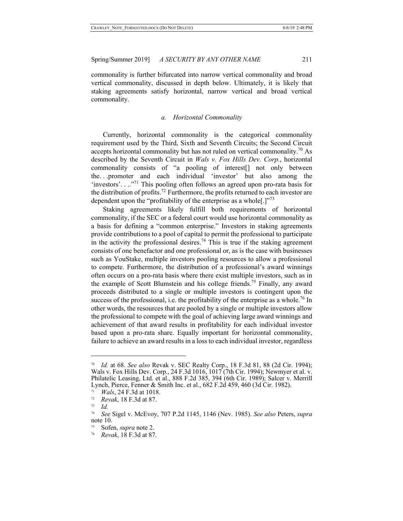commonality is further bifurcated into narrow vertical commonality and broad vertical commonality, discussed in depth below. Ultimately, it is likely that staking agreements satisfy horizontal, narrow vertical and broad vertical commonality.

#### *a. Horizontal Commonality*

Currently, horizontal commonality is the categorical commonality requirement used by the Third, Sixth and Seventh Circuits; the Second Circuit accepts horizontal commonality but has not ruled on vertical commonality.<sup>70</sup> As described by the Seventh Circuit in *Wals v. Fox Hills Dev. Corp.*, horizontal commonality consists of "a pooling of interest[] not only between the. . .promoter and each individual 'investor' but also among the 'investors'. . .."71 This pooling often follows an agreed upon pro-rata basis for the distribution of profits.<sup>72</sup> Furthermore, the profits returned to each investor are dependent upon the "profitability of the enterprise as a whole.] $1^{773}$ 

Staking agreements likely fulfill both requirements of horizontal commonality, if the SEC or a federal court would use horizontal commonality as a basis for defining a "common enterprise." Investors in staking agreements provide contributions to a pool of capital to permit the professional to participate in the activity the professional desires.<sup>74</sup> This is true if the staking agreement consists of one benefactor and one professional or, as is the case with businesses such as YouStake, multiple investors pooling resources to allow a professional to compete. Furthermore, the distribution of a professional's award winnings often occurs on a pro-rata basis where there exist multiple investors, such as in the example of Scott Blumstein and his college friends.<sup>75</sup> Finally, any award proceeds distributed to a single or multiple investors is contingent upon the success of the professional, i.e. the profitability of the enterprise as a whole.<sup>76</sup> In other words, the resources that are pooled by a single or multiple investors allow the professional to compete with the goal of achieving large award winnings and achievement of that award results in profitability for each individual investor based upon a pro-rata share. Equally important for horizontal commonality, failure to achieve an award results in a loss to each individual investor, regardless

<sup>70</sup> *Id.* at 68. *See also* Revak v. SEC Realty Corp., 18 F.3d 81, 88 (2d Cir. 1994); Wals v. Fox Hills Dev. Corp., 24 F.3d 1016, 1017 (7th Cir. 1994); Newmyer et al. v. Philatelic Leasing, Ltd. et al., 888 F.2d 385, 394 (6th Cir. 1989); Salcer v. Merrill Lynch, Pierce, Fenner & Smith Inc. et al., 682 F.2d 459, 460 (3d Cir. 1982).

<sup>71</sup> *Wals*, 24 F.3d at 1018.

<sup>72</sup> *Revak*, 18 F.3d at 87.

<sup>73</sup> *Id.*

<sup>74</sup> *See* Sigel v. McEvoy, 707 P.2d 1145, 1146 (Nev. 1985). *See also* Peters, *supra* note 10.

Sofen, *supra* note 2.

<sup>76</sup> *Revak*, 18 F.3d at 87.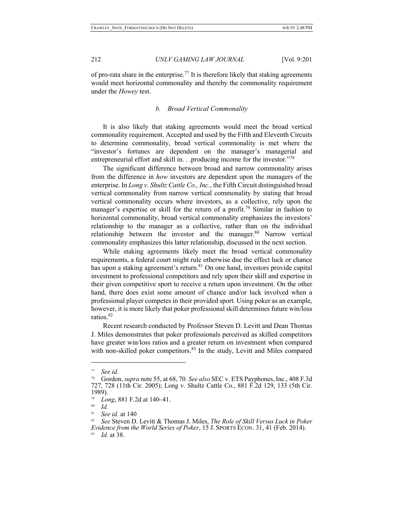of pro-rata share in the enterprise.<sup>77</sup> It is therefore likely that staking agreements would meet horizontal commonality and thereby the commonality requirement under the *Howey* test.

# *b. Broad Vertical Commonality*

It is also likely that staking agreements would meet the broad vertical commonality requirement. Accepted and used by the Fifth and Eleventh Circuits to determine commonality, broad vertical commonality is met where the "investor's fortunes are dependent on the manager's managerial and entrepreneurial effort and skill in. . .producing income for the investor."<sup>78</sup>

The significant difference between broad and narrow commonality arises from the difference in *how* investors are dependent upon the managers of the enterprise. In *Long v. Shultz Cattle Co., Inc.*, the Fifth Circuit distinguished broad vertical commonality from narrow vertical commonality by stating that broad vertical commonality occurs where investors, as a collective, rely upon the manager's expertise or skill for the return of a profit.<sup>79</sup> Similar in fashion to horizontal commonality, broad vertical commonality emphasizes the investors' relationship to the manager as a collective, rather than on the individual relationship between the investor and the manager.<sup>80</sup> Narrow vertical commonality emphasizes this latter relationship, discussed in the next section.

While staking agreements likely meet the broad vertical commonality requirements, a federal court might rule otherwise due the effect luck or chance has upon a staking agreement's return.<sup>81</sup> On one hand, investors provide capital investment to professional competitors and rely upon their skill and expertise in their given competitive sport to receive a return upon investment. On the other hand, there does exist some amount of chance and/or luck involved when a professional player competes in their provided sport. Using poker as an example, however, it is more likely that poker professional skill determines future win/loss ratios.82

Recent research conducted by Professor Steven D. Levitt and Dean Thomas J. Miles demonstrates that poker professionals perceived as skilled competitors have greater win/loss ratios and a greater return on investment when compared with non-skilled poker competitors.<sup>83</sup> In the study, Levitt and Miles compared

<sup>77</sup> *See id.*

<sup>78</sup> Gordon, *supra* note 55, at 68, 70*. See also* SEC v. ETS Payphones, Inc., 408 F.3d 727, 728 (11th Cir. 2005); Long v. Shultz Cattle Co., 881 F.2d 129, 133 (5th Cir. 1989).

<sup>79</sup> *Long*, 881 F.2d at 140–41.

<sup>80</sup> *Id.*

<sup>81</sup> *See id.* at 140

<sup>82</sup> *See* Steven D. Levitt & Thomas J. Miles, *The Role of Skill Versus Luck in Poker Evidence from the World Series of Poker*, 15 J. SPORTS ECON. 31, 41 (Feb. 2014). *Id.* at 38.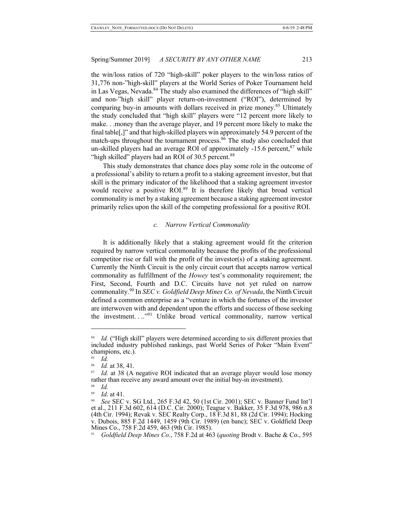the win/loss ratios of 720 "high-skill" poker players to the win/loss ratios of 31,776 non-"high-skill" players at the World Series of Poker Tournament held in Las Vegas, Nevada. $84$  The study also examined the differences of "high skill" and non-"high skill" player return-on-investment ("ROI"), determined by comparing buy-in amounts with dollars received in prize money.<sup>85</sup> Ultimately the study concluded that "high skill" players were "12 percent more likely to make. . .money than the average player, and 19 percent more likely to make the final table[,]" and that high-skilled players win approximately 54.9 percent of the match-ups throughout the tournament process.<sup>86</sup> The study also concluded that un-skilled players had an average ROI of approximately  $-15.6$  percent, $87$  while "high skilled" players had an ROI of 30.5 percent.<sup>88</sup>

This study demonstrates that chance does play some role in the outcome of a professional's ability to return a profit to a staking agreement investor, but that skill is the primary indicator of the likelihood that a staking agreement investor would receive a positive ROI.<sup>89</sup> It is therefore likely that broad vertical commonality is met by a staking agreement because a staking agreement investor primarily relies upon the skill of the competing professional for a positive ROI.

## *c. Narrow Vertical Commonality*

It is additionally likely that a staking agreement would fit the criterion required by narrow vertical commonality because the profits of the professional competitor rise or fall with the profit of the investor(s) of a staking agreement. Currently the Ninth Circuit is the only circuit court that accepts narrow vertical commonality as fulfillment of the *Howey* test's commonality requirement; the First, Second, Fourth and D.C. Circuits have not yet ruled on narrow commonality.<sup>90</sup> In *SEC v. Goldfield Deep Mines Co. of Nevada*, the Ninth Circuit defined a common enterprise as a "venture in which the fortunes of the investor are interwoven with and dependent upon the efforts and success of those seeking the investment...<sup>"91</sup> Unlike broad vertical commonality, narrow vertical

<sup>&</sup>lt;sup>84</sup> *Id.* ("High skill" players were determined according to six different proxies that included industry published rankings, past World Series of Poker "Main Event" champions, etc.).

 $rac{85}{86}$  *Id.* 

 $\frac{86}{87}$  *Id.* at 38, 41.

*Id.* at 38 (A negative ROI indicated that an average player would lose money rather than receive any award amount over the initial buy-in investment).

 $rac{88}{89}$  *Id.* 

<sup>&</sup>lt;sup>89</sup> *Id.* at 41. 90 *See* SEC v. SG Ltd., 265 F.3d 42, 50 (1st Cir. 2001); SEC v. Banner Fund Int'l et al., 211 F.3d 602, 614 (D.C. Cir. 2000); Teague v. Bakker, 35 F.3d 978, 986 n.8 (4th Cir. 1994); Revak v. SEC Realty Corp., 18 F.3d 81, 88 (2d Cir. 1994); Hocking v. Dubois, 885 F.2d 1449, 1459 (9th Cir. 1989) (en banc); SEC v. Goldfield Deep Mines Co., 758 F.2d 459, 463 (9th Cir. 1985).

<sup>91</sup> *Goldfield Deep Mines Co.*, 758 F.2d at 463 (*quoting* Brodt v. Bache & Co., 595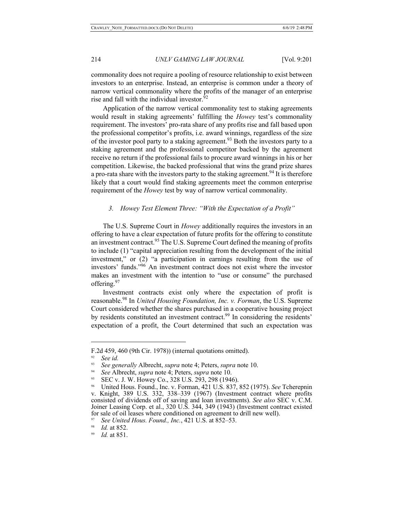commonality does not require a pooling of resource relationship to exist between investors to an enterprise. Instead, an enterprise is common under a theory of narrow vertical commonality where the profits of the manager of an enterprise rise and fall with the individual investor. $92$ 

Application of the narrow vertical commonality test to staking agreements would result in staking agreements' fulfilling the *Howey* test's commonality requirement. The investors' pro-rata share of any profits rise and fall based upon the professional competitor's profits, i.e. award winnings, regardless of the size of the investor pool party to a staking agreement.<sup>93</sup> Both the investors party to a staking agreement and the professional competitor backed by the agreement receive no return if the professional fails to procure award winnings in his or her competition. Likewise, the backed professional that wins the grand prize shares a pro-rata share with the investors party to the staking agreement.<sup>94</sup> It is therefore likely that a court would find staking agreements meet the common enterprise requirement of the *Howey* test by way of narrow vertical commonality.

### *3. Howey Test Element Three: "With the Expectation of a Profit"*

The U.S. Supreme Court in *Howey* additionally requires the investors in an offering to have a clear expectation of future profits for the offering to constitute an investment contract.<sup>95</sup> The U.S. Supreme Court defined the meaning of profits to include (1) "capital appreciation resulting from the development of the initial investment," or (2) "a participation in earnings resulting from the use of investors' funds."96 An investment contract does not exist where the investor makes an investment with the intention to "use or consume" the purchased offering.<sup>97</sup>

Investment contracts exist only where the expectation of profit is reasonable.98 In *United Housing Foundation, Inc. v. Forman*, the U.S. Supreme Court considered whether the shares purchased in a cooperative housing project by residents constituted an investment contract.<sup>99</sup> In considering the residents' expectation of a profit, the Court determined that such an expectation was

F.2d 459, 460 (9th Cir. 1978)) (internal quotations omitted).

<sup>92</sup> *See id.*

<sup>93</sup> *See generally* Albrecht, *supra* note 4; Peters, *supra* note 10.

<sup>94</sup> *See* Albrecht, *supra* note 4; Peters, *supra* note 10.

<sup>95</sup> SEC v. J. W. Howey Co., 328 U.S. 293, 298 (1946).

<sup>96</sup> United Hous. Found., Inc. v. Forman, 421 U.S. 837, 852 (1975). *See* Tcherepnin v. Knight, 389 U.S. 332, 338–339 (1967) (Investment contract where profits consisted of dividends off of saving and loan investments). *See also* SEC v. C.M. Joiner Leasing Corp. et al., 320 U.S. 344, 349 (1943) (Investment contract existed for sale of oil leases where conditioned on agreement to drill new well).

<sup>97</sup> *See United Hous. Found., Inc.*, 421 U.S. at 852–53.

*Id.* at 852.

<sup>99</sup> *Id.* at 851.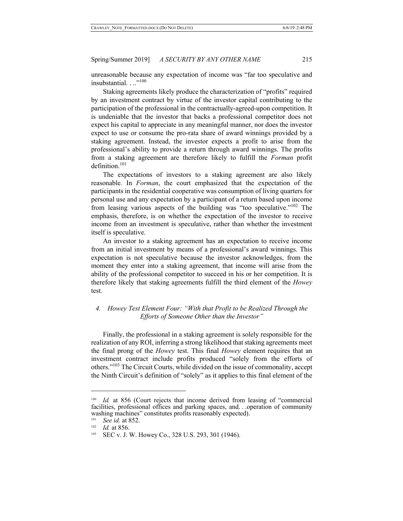unreasonable because any expectation of income was "far too speculative and insubstantial..."<sup>100</sup>

Staking agreements likely produce the characterization of "profits" required by an investment contract by virtue of the investor capital contributing to the participation of the professional in the contractually-agreed-upon competition. It is undeniable that the investor that backs a professional competitor does not expect his capital to appreciate in any meaningful manner, nor does the investor expect to use or consume the pro-rata share of award winnings provided by a staking agreement. Instead, the investor expects a profit to arise from the professional's ability to provide a return through award winnings. The profits from a staking agreement are therefore likely to fulfill the *Forman* profit definition. $101$ 

The expectations of investors to a staking agreement are also likely reasonable. In *Forman*, the court emphasized that the expectation of the participants in the residential cooperative was consumption of living quarters for personal use and any expectation by a participant of a return based upon income from leasing various aspects of the building was "too speculative."<sup>102</sup> The emphasis, therefore, is on whether the expectation of the investor to receive income from an investment is speculative, rather than whether the investment itself is speculative.

An investor to a staking agreement has an expectation to receive income from an initial investment by means of a professional's award winnings. This expectation is not speculative because the investor acknowledges, from the moment they enter into a staking agreement, that income will arise from the ability of the professional competitor to succeed in his or her competition. It is therefore likely that staking agreements fulfill the third element of the *Howey* test.

# *4. Howey Test Element Four: "With that Profit to be Realized Through the Efforts of Someone Other than the Investor"*

Finally, the professional in a staking agreement is solely responsible for the realization of any ROI, inferring a strong likelihood that staking agreements meet the final prong of the *Howey* test. This final *Howey* element requires that an investment contract include profits produced "solely from the efforts of others."103 The Circuit Courts, while divided on the issue of commonality, accept the Ninth Circuit's definition of "solely" as it applies to this final element of the

*Id.* at 856 (Court rejects that income derived from leasing of "commercial facilities, professional offices and parking spaces, and. . .operation of community washing machines" constitutes profits reasonably expected).

<sup>&</sup>lt;sup>101</sup> *See id.* at 852.

*Id.* at 856.

<sup>&</sup>lt;sup>103</sup> SEC v. J. W. Howey Co., 328 U.S. 293, 301 (1946).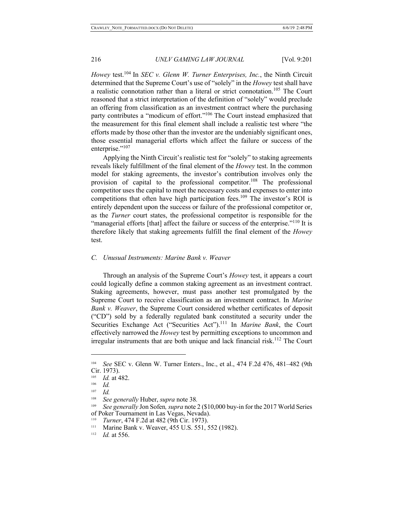*Howey* test.<sup>104</sup> In *SEC v. Glenn W. Turner Enterprises, Inc.*, the Ninth Circuit determined that the Supreme Court's use of "solely" in the *Howey* test shall have a realistic connotation rather than a literal or strict connotation.<sup>105</sup> The Court reasoned that a strict interpretation of the definition of "solely" would preclude an offering from classification as an investment contract where the purchasing party contributes a "modicum of effort."106 The Court instead emphasized that the measurement for this final element shall include a realistic test where "the efforts made by those other than the investor are the undeniably significant ones, those essential managerial efforts which affect the failure or success of the enterprise."<sup>107</sup>

Applying the Ninth Circuit's realistic test for "solely" to staking agreements reveals likely fulfillment of the final element of the *Howey* test. In the common model for staking agreements, the investor's contribution involves only the provision of capital to the professional competitor.<sup>108</sup> The professional competitor uses the capital to meet the necessary costs and expenses to enter into competitions that often have high participation fees.<sup>109</sup> The investor's ROI is entirely dependent upon the success or failure of the professional competitor or, as the *Turner* court states, the professional competitor is responsible for the "managerial efforts [that] affect the failure or success of the enterprise."<sup>110</sup> It is therefore likely that staking agreements fulfill the final element of the *Howey* test.

### *C. Unusual Instruments: Marine Bank v. Weaver*

Through an analysis of the Supreme Court's *Howey* test, it appears a court could logically define a common staking agreement as an investment contract. Staking agreements, however, must pass another test promulgated by the Supreme Court to receive classification as an investment contract. In *Marine Bank v. Weaver*, the Supreme Court considered whether certificates of deposit ("CD") sold by a federally regulated bank constituted a security under the Securities Exchange Act ("Securities Act").<sup>111</sup> In *Marine Bank*, the Court effectively narrowed the *Howey* test by permitting exceptions to uncommon and irregular instruments that are both unique and lack financial risk.<sup>112</sup> The Court

<sup>104</sup> *See* SEC v. Glenn W. Turner Enters., Inc., et al., 474 F.2d 476, 481–482 (9th Cir. 1973).<br> $\frac{105}{10}$  *Id at 4* 

 $\frac{105}{106}$  *Id.* at 482.

 $\frac{106}{107}$  *Id.* 

*Id.* 

<sup>108</sup> *See generally* Huber, *supra* note 38*.*

<sup>109</sup> *See generally* Jon Sofen*, supra* note 2 (\$10,000 buy-in for the 2017 World Series of Poker Tournament in Las Vegas, Nevada).

<sup>&</sup>lt;sup>110</sup> *Turner*, 474 F.2d at 482 (9th Cir. 1973).<br><sup>111</sup> Marine Bank v Weaver 455 U.S. 551

Marine Bank v. Weaver, 455 U.S. 551, 552 (1982).

<sup>112</sup> *Id.* at 556.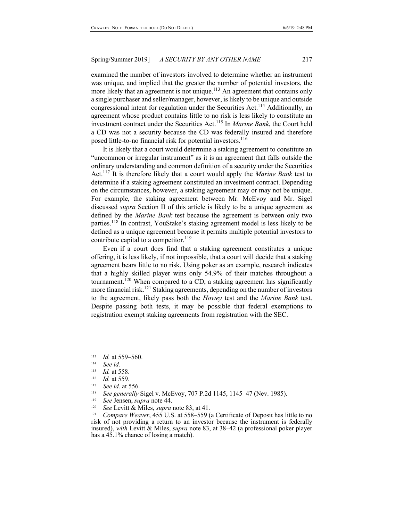examined the number of investors involved to determine whether an instrument was unique, and implied that the greater the number of potential investors, the more likely that an agreement is not unique.<sup>113</sup> An agreement that contains only a single purchaser and seller/manager, however, is likely to be unique and outside congressional intent for regulation under the Securities Act.<sup>114</sup> Additionally, an agreement whose product contains little to no risk is less likely to constitute an investment contract under the Securities Act.<sup>115</sup> In *Marine Bank*, the Court held a CD was not a security because the CD was federally insured and therefore posed little-to-no financial risk for potential investors.<sup>116</sup>

It is likely that a court would determine a staking agreement to constitute an "uncommon or irregular instrument" as it is an agreement that falls outside the ordinary understanding and common definition of a security under the Securities Act.117 It is therefore likely that a court would apply the *Marine Bank* test to determine if a staking agreement constituted an investment contract. Depending on the circumstances, however, a staking agreement may or may not be unique. For example, the staking agreement between Mr. McEvoy and Mr. Sigel discussed *supra* Section II of this article is likely to be a unique agreement as defined by the *Marine Bank* test because the agreement is between only two parties.<sup>118</sup> In contrast, YouStake's staking agreement model is less likely to be defined as a unique agreement because it permits multiple potential investors to contribute capital to a competitor. $119$ 

Even if a court does find that a staking agreement constitutes a unique offering, it is less likely, if not impossible, that a court will decide that a staking agreement bears little to no risk. Using poker as an example, research indicates that a highly skilled player wins only 54.9% of their matches throughout a tournament.120 When compared to a CD, a staking agreement has significantly more financial risk.<sup>121</sup> Staking agreements, depending on the number of investors to the agreement, likely pass both the *Howey* test and the *Marine Bank* test. Despite passing both tests, it may be possible that federal exemptions to registration exempt staking agreements from registration with the SEC.

 $\overline{\phantom{a}}$ 

<sup>117</sup> See id. at 556.<br><sup>118</sup> See generally Sigel v. McEvoy, 707 P.2d 1145, 1145–47 (Nev. 1985).<br><sup>119</sup> See Jensen, sunra note 44.

<sup>113</sup> *Id.* at 559–560.

<sup>114</sup> *See id.*

<sup>115</sup> *Id.* at 558.

<sup>116</sup> *Id.* at 559.

See Jensen, *supra* note 44.

<sup>120</sup> *See* Levitt & Miles, *supra* note 83, at 41.

<sup>121</sup> *Compare Weaver*, 455 U.S. at 558–559 (a Certificate of Deposit has little to no risk of not providing a return to an investor because the instrument is federally insured), *with* Levitt & Miles, *supra* note 83, at 38–42 (a professional poker player has a 45.1% chance of losing a match).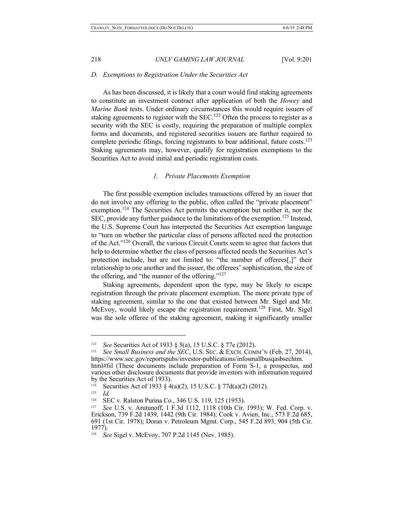### *D. Exemptions to Registration Under the Securities Act*

As has been discussed, it is likely that a court would find staking agreements to constitute an investment contract after application of both the *Howey* and *Marine Bank* tests. Under ordinary circumstances this would require issuers of staking agreements to register with the SEC.<sup>122</sup> Often the process to register as a security with the SEC is costly, requiring the preparation of multiple complex forms and documents, and registered securities issuers are further required to complete periodic filings, forcing registrants to bear additional, future costs.<sup>123</sup> Staking agreements may, however, qualify for registration exemptions to the Securities Act to avoid initial and periodic registration costs.

## *1. Private Placements Exemption*

The first possible exemption includes transactions offered by an issuer that do not involve any offering to the public, often called the "private placement" exemption.<sup>124</sup> The Securities Act permits the exemption but neither it, nor the SEC, provide any further guidance to the limitations of the exemption.<sup>125</sup> Instead, the U.S. Supreme Court has interpreted the Securities Act exemption language to "turn on whether the particular class of persons affected need the protection of the Act."126 Overall, the various Circuit Courts seem to agree that factors that help to determine whether the class of persons affected needs the Securities Act's protection include, but are not limited to: "the number of offerees[,]" their relationship to one another and the issuer, the offerees' sophistication, the size of the offering, and "the manner of the offering."<sup>127</sup>

Staking agreements, dependent upon the type, may be likely to escape registration through the private placement exemption. The more private type of staking agreement, similar to the one that existed between Mr. Sigel and Mr. McEvoy, would likely escape the registration requirement.<sup>128</sup> First, Mr. Sigel was the sole offeree of the staking agreement, making it significantly smaller

<sup>122</sup> *See* Securities Act of 1933 § 5(a), 15 U.S.C. § 77e (2012).

<sup>123</sup> *See Small Business and the SEC*, U.S. SEC. & EXCH. COMM'N (Feb. 27, 2014), https://www.sec.gov/reportspubs/investor-publications/infosmallbusqasbsechtm. html#fsl (These documents include preparation of Form S-1, a prospectus, and various other disclosure documents that provide investors with information required by the Securities Act of 1933).

<sup>124</sup> Securities Act of 1933 § 4(a)(2), 15 U.S.C. § 77d(a)(2) (2012).

 $\frac{125}{126}$  *Id.* 

SEC v. Ralston Purina Co., 346 U.S. 119, 125 (1953).

<sup>127</sup> *See* U.S. v. Arutunoff, 1 F.3d 1112, 1118 (10th Cir. 1993); W. Fed. Corp. v. Erickson, 739 F.2d 1439, 1442 (9th Cir. 1984); Cook v. Avien, Inc., 573 F.2d 685, 691 (1st Cir. 1978); Doran v. Petroleum Mgmt. Corp., 545 F.2d 893, 904 (5th Cir. 1977).

<sup>&</sup>lt;sup>128</sup> *See* Sigel v. McEvoy, 707 P.2d 1145 (Nev. 1985).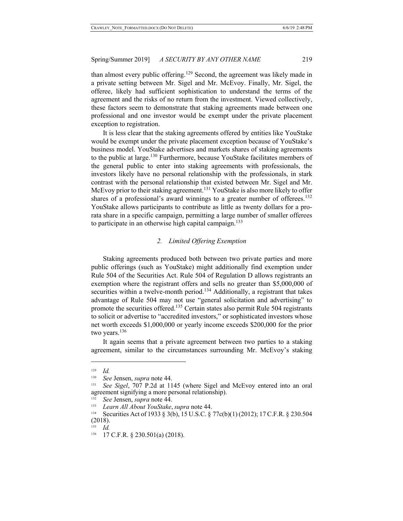than almost every public offering.<sup>129</sup> Second, the agreement was likely made in a private setting between Mr. Sigel and Mr. McEvoy. Finally, Mr. Sigel, the offeree, likely had sufficient sophistication to understand the terms of the agreement and the risks of no return from the investment. Viewed collectively, these factors seem to demonstrate that staking agreements made between one professional and one investor would be exempt under the private placement exception to registration.

It is less clear that the staking agreements offered by entities like YouStake would be exempt under the private placement exception because of YouStake's business model. YouStake advertises and markets shares of staking agreements to the public at large.<sup>130</sup> Furthermore, because YouStake facilitates members of the general public to enter into staking agreements with professionals, the investors likely have no personal relationship with the professionals, in stark contrast with the personal relationship that existed between Mr. Sigel and Mr. McEvoy prior to their staking agreement.<sup>131</sup> YouStake is also more likely to offer shares of a professional's award winnings to a greater number of offerees.<sup>132</sup> YouStake allows participants to contribute as little as twenty dollars for a prorata share in a specific campaign, permitting a large number of smaller offerees to participate in an otherwise high capital campaign.<sup>133</sup>

## *2. Limited Offering Exemption*

Staking agreements produced both between two private parties and more public offerings (such as YouStake) might additionally find exemption under Rule 504 of the Securities Act. Rule 504 of Regulation D allows registrants an exemption where the registrant offers and sells no greater than \$5,000,000 of securities within a twelve-month period.<sup>134</sup> Additionally, a registrant that takes advantage of Rule 504 may not use "general solicitation and advertising" to promote the securities offered.<sup>135</sup> Certain states also permit Rule 504 registrants to solicit or advertise to "accredited investors," or sophisticated investors whose net worth exceeds \$1,000,000 or yearly income exceeds \$200,000 for the prior two years.<sup>136</sup>

It again seems that a private agreement between two parties to a staking agreement, similar to the circumstances surrounding Mr. McEvoy's staking

<sup>129</sup> *Id.*

<sup>130</sup> *See* Jensen, *supra* note 44.

<sup>131</sup> *See Sigel*, 707 P.2d at 1145 (where Sigel and McEvoy entered into an oral agreement signifying a more personal relationship).

<sup>132</sup> *See* Jensen, *supra* note 44.

<sup>133</sup> *Learn All About YouStake*, *supra* note 44.

Securities Act of 1933 § 3(b), 15 U.S.C. § 77c(b)(1) (2012); 17 C.F.R. § 230.504 (2018).

<sup>135</sup> *Id.*

<sup>136 17</sup> C.F.R. § 230.501(a) (2018).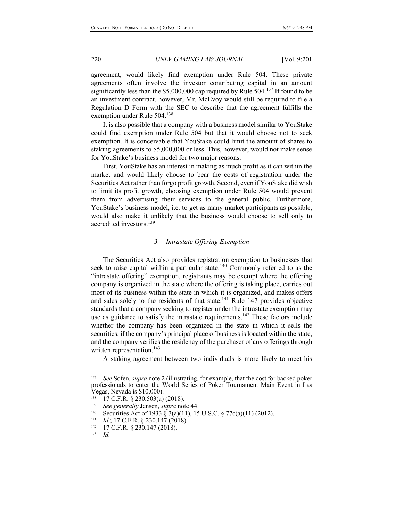agreement, would likely find exemption under Rule 504. These private agreements often involve the investor contributing capital in an amount significantly less than the \$5,000,000 cap required by Rule  $504$ .<sup>137</sup> If found to be an investment contract, however, Mr. McEvoy would still be required to file a Regulation D Form with the SEC to describe that the agreement fulfills the exemption under Rule 504.138

It is also possible that a company with a business model similar to YouStake could find exemption under Rule 504 but that it would choose not to seek exemption. It is conceivable that YouStake could limit the amount of shares to staking agreements to \$5,000,000 or less. This, however, would not make sense for YouStake's business model for two major reasons.

First, YouStake has an interest in making as much profit as it can within the market and would likely choose to bear the costs of registration under the Securities Act rather than forgo profit growth. Second, even if YouStake did wish to limit its profit growth, choosing exemption under Rule 504 would prevent them from advertising their services to the general public. Furthermore, YouStake's business model, i.e. to get as many market participants as possible, would also make it unlikely that the business would choose to sell only to accredited investors.<sup>139</sup>

# *3. Intrastate Offering Exemption*

The Securities Act also provides registration exemption to businesses that seek to raise capital within a particular state.<sup>140</sup> Commonly referred to as the "intrastate offering" exemption, registrants may be exempt where the offering company is organized in the state where the offering is taking place, carries out most of its business within the state in which it is organized, and makes offers and sales solely to the residents of that state.<sup>141</sup> Rule 147 provides objective standards that a company seeking to register under the intrastate exemption may use as guidance to satisfy the intrastate requirements.<sup>142</sup> These factors include whether the company has been organized in the state in which it sells the securities, if the company's principal place of business is located within the state, and the company verifies the residency of the purchaser of any offerings through written representation.<sup>143</sup>

A staking agreement between two individuals is more likely to meet his

<sup>137</sup> *See* Sofen, *supra* note 2 (illustrating, for example, that the cost for backed poker professionals to enter the World Series of Poker Tournament Main Event in Las Vegas, Nevada is \$10,000).

 $138$  17 C.F.R. § 230.503(a) (2018).

<sup>139</sup> *See generally* Jensen, *supra* note 44.

<sup>&</sup>lt;sup>140</sup> Securities Act of 1933 § 3(a)(11), 15 U.S.C. § 77c(a)(11) (2012).

<sup>&</sup>lt;sup>141</sup> *Id.*; 17 C.F.R. § 230.147 (2018).<br><sup>142</sup> 17 C.F.R. § 230.147 (2018)

<sup>17</sup> C.F.R. § 230.147 (2018).

<sup>143</sup> *Id.*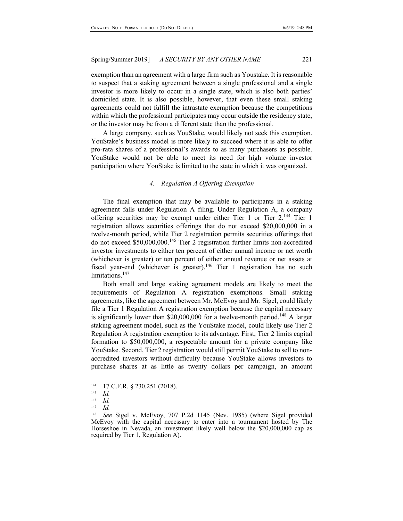exemption than an agreement with a large firm such as Youstake. It is reasonable to suspect that a staking agreement between a single professional and a single investor is more likely to occur in a single state, which is also both parties' domiciled state. It is also possible, however, that even these small staking agreements could not fulfill the intrastate exemption because the competitions within which the professional participates may occur outside the residency state, or the investor may be from a different state than the professional.

A large company, such as YouStake, would likely not seek this exemption. YouStake's business model is more likely to succeed where it is able to offer pro-rata shares of a professional's awards to as many purchasers as possible. YouStake would not be able to meet its need for high volume investor participation where YouStake is limited to the state in which it was organized.

## *4. Regulation A Offering Exemption*

The final exemption that may be available to participants in a staking agreement falls under Regulation A filing. Under Regulation A, a company offering securities may be exempt under either Tier 1 or Tier  $2^{144}$  Tier 1 registration allows securities offerings that do not exceed \$20,000,000 in a twelve-month period, while Tier 2 registration permits securities offerings that do not exceed \$50,000,000.<sup>145</sup> Tier 2 registration further limits non-accredited investor investments to either ten percent of either annual income or net worth (whichever is greater) or ten percent of either annual revenue or net assets at fiscal year-end (whichever is greater).<sup>146</sup> Tier 1 registration has no such limitations.<sup>147</sup>

Both small and large staking agreement models are likely to meet the requirements of Regulation A registration exemptions. Small staking agreements, like the agreement between Mr. McEvoy and Mr. Sigel, could likely file a Tier 1 Regulation A registration exemption because the capital necessary is significantly lower than \$20,000,000 for a twelve-month period.<sup>148</sup> A larger staking agreement model, such as the YouStake model, could likely use Tier 2 Regulation A registration exemption to its advantage. First, Tier 2 limits capital formation to \$50,000,000, a respectable amount for a private company like YouStake. Second, Tier 2 registration would still permit YouStake to sell to nonaccredited investors without difficulty because YouStake allows investors to purchase shares at as little as twenty dollars per campaign, an amount

 $^{144}$  17 C.F.R. § 230.251 (2018).

<sup>145</sup> *Id.*

 $\frac{146}{147}$  *Id.* 

<sup>147</sup> *Id.*

<sup>148</sup> *See* Sigel v. McEvoy, 707 P.2d 1145 (Nev. 1985) (where Sigel provided McEvoy with the capital necessary to enter into a tournament hosted by The Horseshoe in Nevada, an investment likely well below the \$20,000,000 cap as required by Tier 1, Regulation A).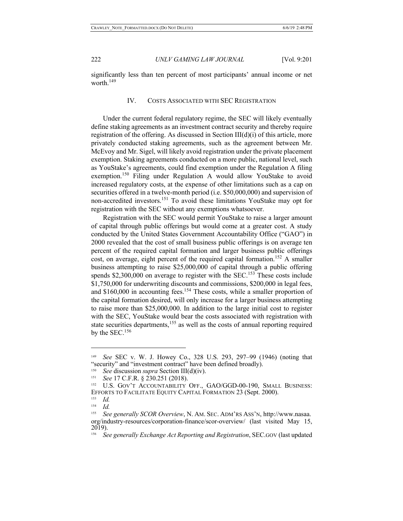significantly less than ten percent of most participants' annual income or net worth.<sup>149</sup>

## IV. COSTS ASSOCIATED WITH SEC REGISTRATION

Under the current federal regulatory regime, the SEC will likely eventually define staking agreements as an investment contract security and thereby require registration of the offering. As discussed in Section  $III(d)(i)$  of this article, more privately conducted staking agreements, such as the agreement between Mr. McEvoy and Mr. Sigel, will likely avoid registration under the private placement exemption. Staking agreements conducted on a more public, national level, such as YouStake's agreements, could find exemption under the Regulation A filing exemption.<sup>150</sup> Filing under Regulation A would allow YouStake to avoid increased regulatory costs, at the expense of other limitations such as a cap on securities offered in a twelve-month period (i.e. \$50,000,000) and supervision of non-accredited investors.151 To avoid these limitations YouStake may opt for registration with the SEC without any exemptions whatsoever.

Registration with the SEC would permit YouStake to raise a larger amount of capital through public offerings but would come at a greater cost. A study conducted by the United States Government Accountability Office ("GAO") in 2000 revealed that the cost of small business public offerings is on average ten percent of the required capital formation and larger business public offerings cost, on average, eight percent of the required capital formation.<sup>152</sup> A smaller business attempting to raise \$25,000,000 of capital through a public offering spends  $$2,300,000$  on average to register with the SEC.<sup>153</sup> These costs include \$1,750,000 for underwriting discounts and commissions, \$200,000 in legal fees, and \$160,000 in accounting fees.<sup>154</sup> These costs, while a smaller proportion of the capital formation desired, will only increase for a larger business attempting to raise more than \$25,000,000. In addition to the large initial cost to register with the SEC, YouStake would bear the costs associated with registration with state securities departments,<sup>155</sup> as well as the costs of annual reporting required by the SEC.156

<sup>149</sup>*See* SEC v. W. J. Howey Co., 328 U.S. 293, 297–99 (1946) (noting that "security" and "investment contract" have been defined broadly).

<sup>150</sup> *See* discussion *supra* Section III(d)(iv).

<sup>151</sup> *See* 17 C.F.R. § 230.251 (2018).

<sup>152</sup> U.S. GOV'T ACCOUNTABILITY OFF., GAO/GGD-00-190, SMALL BUSINESS: EFFORTS TO FACILITATE EQUITY CAPITAL FORMATION 23 (Sept. 2000).

<sup>153</sup> *Id.*

<sup>154</sup> *Id.*

<sup>155</sup> *See generally SCOR Overview*, N. AM. SEC. ADM'RS ASS'N, http://www.nasaa. org/industry-resources/corporation-finance/scor-overview/ (last visited May 15, 2019).

<sup>156</sup> *See generally Exchange Act Reporting and Registration*, SEC.GOV (last updated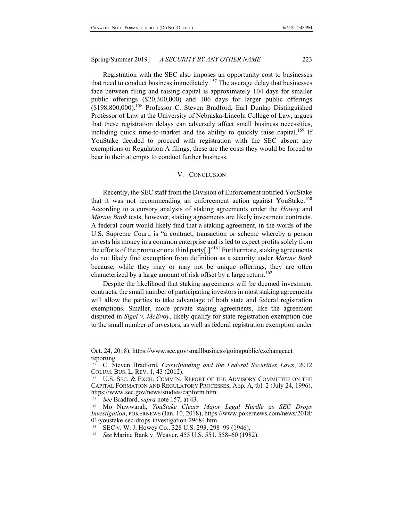Registration with the SEC also imposes an opportunity cost to businesses that need to conduct business immediately.<sup>157</sup> The average delay that businesses face between filing and raising capital is approximately 104 days for smaller public offerings (\$20,300,000) and 106 days for larger public offerings (\$198,800,000).<sup>158</sup> Professor C. Steven Bradford, Earl Dunlap Distinguished Professor of Law at the University of Nebraska-Lincoln College of Law, argues that these registration delays can adversely affect small business necessities, including quick time-to-market and the ability to quickly raise capital.<sup>159</sup> If YouStake decided to proceed with registration with the SEC absent any exemptions or Regulation A filings, these are the costs they would be forced to bear in their attempts to conduct further business.

## V. CONCLUSION

Recently, the SEC staff from the Division of Enforcement notified YouStake that it was not recommending an enforcement action against YouStake.<sup>160</sup> According to a cursory analysis of staking agreements under the *Howey* and *Marine Bank* tests, however, staking agreements are likely investment contracts. A federal court would likely find that a staking agreement, in the words of the U.S. Supreme Court, is "a contract, transaction or scheme whereby a person invests his money in a common enterprise and is led to expect profits solely from the efforts of the promoter or a third party<sup>[1]</sup><sup>161</sup> Furthermore, staking agreements do not likely find exemption from definition as a security under *Marine Bank* because, while they may or may not be unique offerings, they are often characterized by a large amount of risk offset by a large return.<sup>162</sup>

Despite the likelihood that staking agreements will be deemed investment contracts, the small number of participating investors in most staking agreements will allow the parties to take advantage of both state and federal registration exemptions. Smaller, more private staking agreements, like the agreement disputed in *Sigel v. McEvoy*, likely qualify for state registration exemption due to the small number of investors, as well as federal registration exemption under

Oct. 24, 2018), https://www.sec.gov/smallbusiness/goingpublic/exchangeact reporting.

<sup>157</sup> C. Steven Bradford, *Crowdfunding and the Federal Securities Laws*, 2012 COLUM. BUS. L. REV. 1, 43 (2012).

U.S. SEC. & EXCH. COMM'N, REPORT OF THE ADVISORY COMMITTEE ON THE CAPITAL FORMATION AND REGULATORY PROCESSES, App. A, tbl. 2 (July 24, 1996), https://www.sec.gov/news/studies/capform.htm.

<sup>159</sup> *See* Bradford, *supra* note 157, at 43.

<sup>160</sup> Mo Nuwwarah, *YouStake Clears Major Legal Hurdle as SEC Drops Investigation*, POKERNEWS (Jan. 10, 2018), https://www.pokernews.com/news/2018/ 01/youstake-sec-drops-investigation-29684.htm.

SEC v. W. J. Howey Co., 328 U.S. 293, 298–99 (1946).

<sup>&</sup>lt;sup>162</sup> *See* Marine Bank v. Weaver, 455 U.S. 551, 558–60 (1982).